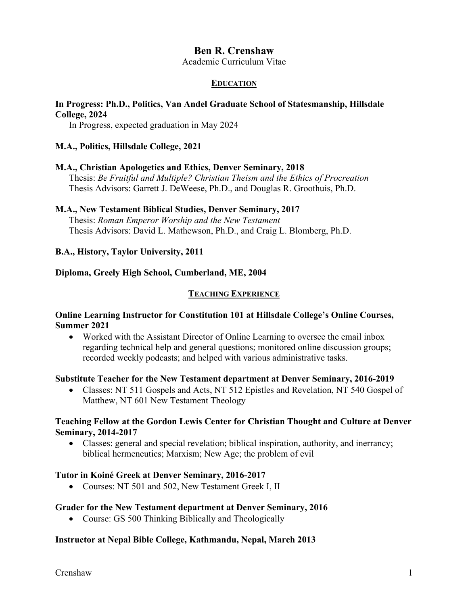# **Ben R. Crenshaw**

Academic Curriculum Vitae

### **EDUCATION**

# **In Progress: Ph.D., Politics, Van Andel Graduate School of Statesmanship, Hillsdale College, 2024**

In Progress, expected graduation in May 2024

### **M.A., Politics, Hillsdale College, 2021**

### **M.A., Christian Apologetics and Ethics, Denver Seminary, 2018**

Thesis: *Be Fruitful and Multiple? Christian Theism and the Ethics of Procreation* Thesis Advisors: Garrett J. DeWeese, Ph.D., and Douglas R. Groothuis, Ph.D.

### **M.A., New Testament Biblical Studies, Denver Seminary, 2017**

Thesis: *Roman Emperor Worship and the New Testament* Thesis Advisors: David L. Mathewson, Ph.D., and Craig L. Blomberg, Ph.D.

### **B.A., History, Taylor University, 2011**

#### **Diploma, Greely High School, Cumberland, ME, 2004**

#### **TEACHING EXPERIENCE**

### **Online Learning Instructor for Constitution 101 at Hillsdale College's Online Courses, Summer 2021**

• Worked with the Assistant Director of Online Learning to oversee the email inbox regarding technical help and general questions; monitored online discussion groups; recorded weekly podcasts; and helped with various administrative tasks.

#### **Substitute Teacher for the New Testament department at Denver Seminary, 2016-2019**

• Classes: NT 511 Gospels and Acts, NT 512 Epistles and Revelation, NT 540 Gospel of Matthew, NT 601 New Testament Theology

### **Teaching Fellow at the Gordon Lewis Center for Christian Thought and Culture at Denver Seminary, 2014-2017**

• Classes: general and special revelation; biblical inspiration, authority, and inerrancy; biblical hermeneutics; Marxism; New Age; the problem of evil

#### **Tutor in Koiné Greek at Denver Seminary, 2016-2017**

• Courses: NT 501 and 502, New Testament Greek I, II

### **Grader for the New Testament department at Denver Seminary, 2016**

• Course: GS 500 Thinking Biblically and Theologically

#### **Instructor at Nepal Bible College, Kathmandu, Nepal, March 2013**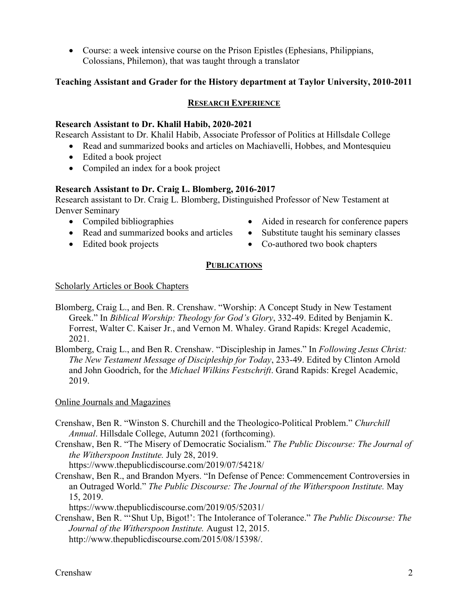• Course: a week intensive course on the Prison Epistles (Ephesians, Philippians, Colossians, Philemon), that was taught through a translator

## **Teaching Assistant and Grader for the History department at Taylor University, 2010-2011**

## **RESEARCH EXPERIENCE**

### **Research Assistant to Dr. Khalil Habib, 2020-2021**

Research Assistant to Dr. Khalil Habib, Associate Professor of Politics at Hillsdale College

- Read and summarized books and articles on Machiavelli, Hobbes, and Montesquieu
	- Edited a book project
	- Compiled an index for a book project

### **Research Assistant to Dr. Craig L. Blomberg, 2016-2017**

Research assistant to Dr. Craig L. Blomberg, Distinguished Professor of New Testament at Denver Seminary

- Compiled bibliographies
- Read and summarized books and articles
- Edited book projects
- Aided in research for conference papers
- Substitute taught his seminary classes
- Co-authored two book chapters

### **PUBLICATIONS**

### Scholarly Articles or Book Chapters

- Blomberg, Craig L., and Ben. R. Crenshaw. "Worship: A Concept Study in New Testament Greek." In *Biblical Worship: Theology for God's Glory*, 332-49. Edited by Benjamin K. Forrest, Walter C. Kaiser Jr., and Vernon M. Whaley. Grand Rapids: Kregel Academic, 2021.
- Blomberg, Craig L., and Ben R. Crenshaw. "Discipleship in James." In *Following Jesus Christ: The New Testament Message of Discipleship for Today*, 233-49. Edited by Clinton Arnold and John Goodrich, for the *Michael Wilkins Festschrift*. Grand Rapids: Kregel Academic, 2019.

### Online Journals and Magazines

- Crenshaw, Ben R. "Winston S. Churchill and the Theologico-Political Problem." *Churchill Annual*. Hillsdale College, Autumn 2021 (forthcoming).
- Crenshaw, Ben R. "The Misery of Democratic Socialism." *The Public Discourse: The Journal of the Witherspoon Institute.* July 28, 2019.

https://www.thepublicdiscourse.com/2019/07/54218/

Crenshaw, Ben R., and Brandon Myers. "In Defense of Pence: Commencement Controversies in an Outraged World." *The Public Discourse: The Journal of the Witherspoon Institute.* May 15, 2019.

https://www.thepublicdiscourse.com/2019/05/52031/

Crenshaw, Ben R. "'Shut Up, Bigot!': The Intolerance of Tolerance." *The Public Discourse: The Journal of the Witherspoon Institute.* August 12, 2015. http://www.thepublicdiscourse.com/2015/08/15398/.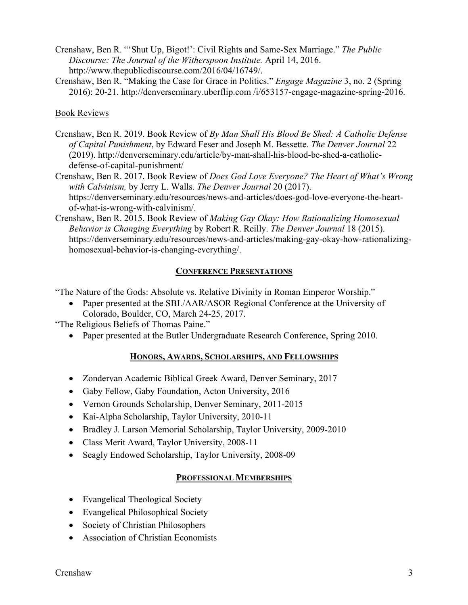- Crenshaw, Ben R. "'Shut Up, Bigot!': Civil Rights and Same-Sex Marriage." *The Public Discourse: The Journal of the Witherspoon Institute.* April 14, 2016. http://www.thepublicdiscourse.com/2016/04/16749/.
- Crenshaw, Ben R. "Making the Case for Grace in Politics." *Engage Magazine* 3, no. 2 (Spring 2016): 20-21. http://denverseminary.uberflip.com /i/653157-engage-magazine-spring-2016.

Book Reviews

- Crenshaw, Ben R. 2019. Book Review of *By Man Shall His Blood Be Shed: A Catholic Defense of Capital Punishment*, by Edward Feser and Joseph M. Bessette. *The Denver Journal* 22 (2019). http://denverseminary.edu/article/by-man-shall-his-blood-be-shed-a-catholicdefense-of-capital-punishment/
- Crenshaw, Ben R. 2017. Book Review of *Does God Love Everyone? The Heart of What's Wrong with Calvinism,* by Jerry L. Walls. *The Denver Journal* 20 (2017). https://denverseminary.edu/resources/news-and-articles/does-god-love-everyone-the-heartof-what-is-wrong-with-calvinism/.
- Crenshaw, Ben R. 2015. Book Review of *Making Gay Okay: How Rationalizing Homosexual Behavior is Changing Everything* by Robert R. Reilly. *The Denver Journal* 18 (2015). https://denverseminary.edu/resources/news-and-articles/making-gay-okay-how-rationalizinghomosexual-behavior-is-changing-everything/.

# **CONFERENCE PRESENTATIONS**

"The Nature of the Gods: Absolute vs. Relative Divinity in Roman Emperor Worship."

• Paper presented at the SBL/AAR/ASOR Regional Conference at the University of Colorado, Boulder, CO, March 24-25, 2017.

"The Religious Beliefs of Thomas Paine."

• Paper presented at the Butler Undergraduate Research Conference, Spring 2010.

## **HONORS, AWARDS, SCHOLARSHIPS, AND FELLOWSHIPS**

- Zondervan Academic Biblical Greek Award, Denver Seminary, 2017
- Gaby Fellow, Gaby Foundation, Acton University, 2016
- Vernon Grounds Scholarship, Denver Seminary, 2011-2015
- Kai-Alpha Scholarship, Taylor University, 2010-11
- Bradley J. Larson Memorial Scholarship, Taylor University, 2009-2010
- Class Merit Award, Taylor University, 2008-11
- Seagly Endowed Scholarship, Taylor University, 2008-09

## **PROFESSIONAL MEMBERSHIPS**

- Evangelical Theological Society
- Evangelical Philosophical Society
- Society of Christian Philosophers
- Association of Christian Economists